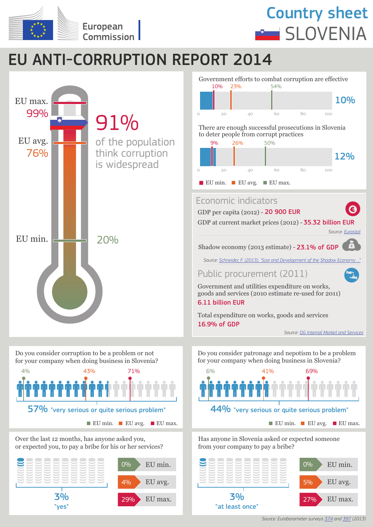

## Country sheet **SLOVENIA**

## EU ANTI-CORRUPTION REPORT 2014



57% "very serious or quite serious problem" EU min. EU avg. EU max.  $\blacksquare$  EU max.  $\blacksquare$  EU min.  $\blacksquare$  EU avg.  $\blacksquare$  EU max.

Over the last 12 months, has anyone asked you, or expected you, to pay a bribe for his or her services?





Public procurement (2011)

Government and utilities expenditure on works, goods and services (2010 estimate re-used for 2011)

6.11 billion EUR

16.9% of GDP Total expenditure on works, goods and services

*Source: DG Internal Market and Services*

Do you consider patronage and nepotism to be a problem for your company when doing business in Slovenia?



Has anyone in Slovenia asked or expected someone from your company to pay a bribe?